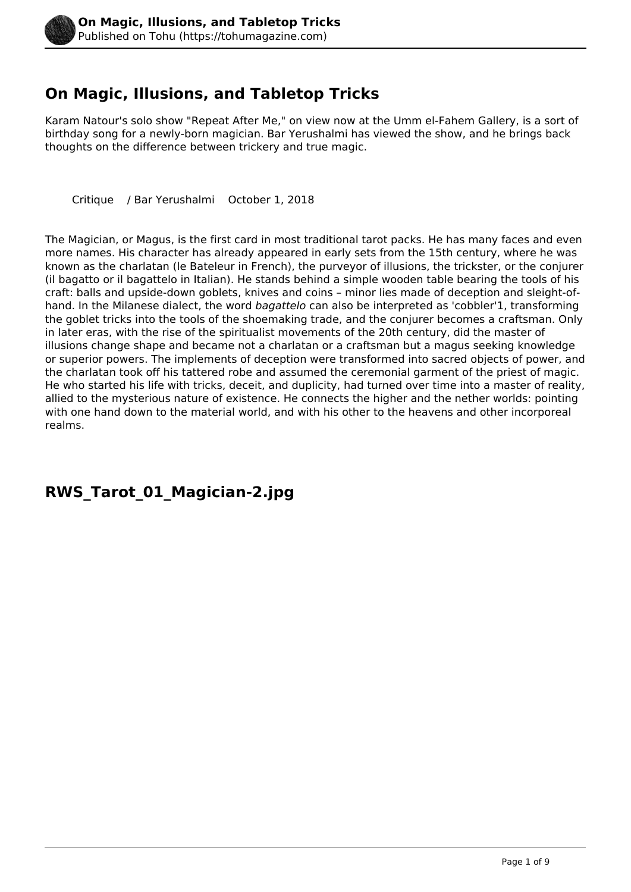

### **On Magic, Illusions, and Tabletop Tricks**

Karam Natour's solo show "Repeat After Me," on view now at the Umm el-Fahem Gallery, is a sort of birthday song for a newly-born magician. Bar Yerushalmi has viewed the show, and he brings back thoughts on the difference between trickery and true magic.

Critique / Bar Yerushalmi October 1, 2018

The Magician, or Magus, is the first card in most traditional tarot packs. He has many faces and even more names. His character has already appeared in early sets from the 15th century, where he was known as the charlatan (le Bateleur in French), the purveyor of illusions, the trickster, or the conjurer (il bagatto or il bagattelo in Italian). He stands behind a simple wooden table bearing the tools of his craft: balls and upside-down goblets, knives and coins – minor lies made of deception and sleight-ofhand. In the Milanese dialect, the word *bagattelo* can also be interpreted as 'cobbler'1, transforming the goblet tricks into the tools of the shoemaking trade, and the conjurer becomes a craftsman. Only in later eras, with the rise of the spiritualist movements of the 20th century, did the master of illusions change shape and became not a charlatan or a craftsman but a magus seeking knowledge or superior powers. The implements of deception were transformed into sacred objects of power, and the charlatan took off his tattered robe and assumed the ceremonial garment of the priest of magic. He who started his life with tricks, deceit, and duplicity, had turned over time into a master of reality, allied to the mysterious nature of existence. He connects the higher and the nether worlds: pointing with one hand down to the material world, and with his other to the heavens and other incorporeal realms.

#### **RWS\_Tarot\_01\_Magician-2.jpg**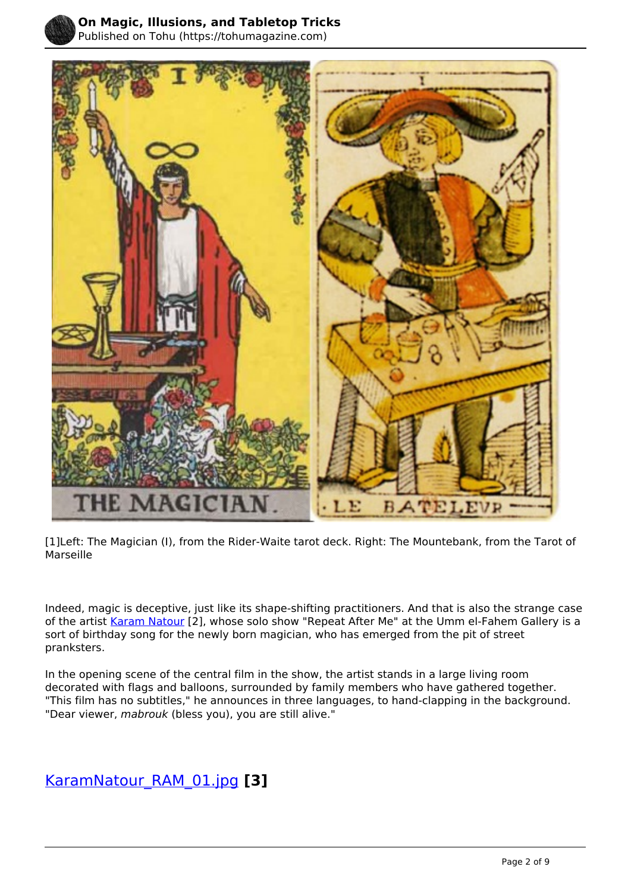

Published on Tohu (https://tohumagazine.com)



[1]Left: The Magician (I), from the Rider-Waite tarot deck. Right: The Mountebank, from the Tarot of Marseille

Indeed, magic is deceptive, just like its shape-shifting practitioners. And that is also the strange case of the artist [Karam Natour](http://www.karamnatour.com/) [2], whose solo show "Repeat After Me" at the Umm el-Fahem Gallery is a sort of birthday song for the newly born magician, who has emerged from the pit of street pranksters.

In the opening scene of the central film in the show, the artist stands in a large living room decorated with flags and balloons, surrounded by family members who have gathered together. "This film has no subtitles," he announces in three languages, to hand-clapping in the background. "Dear viewer, *mabrouk* (bless you), you are still alive."

#### [KaramNatour\\_RAM\\_01.jpg](https://tohumagazine.com/file/karamnatourram01jpg) **[3]**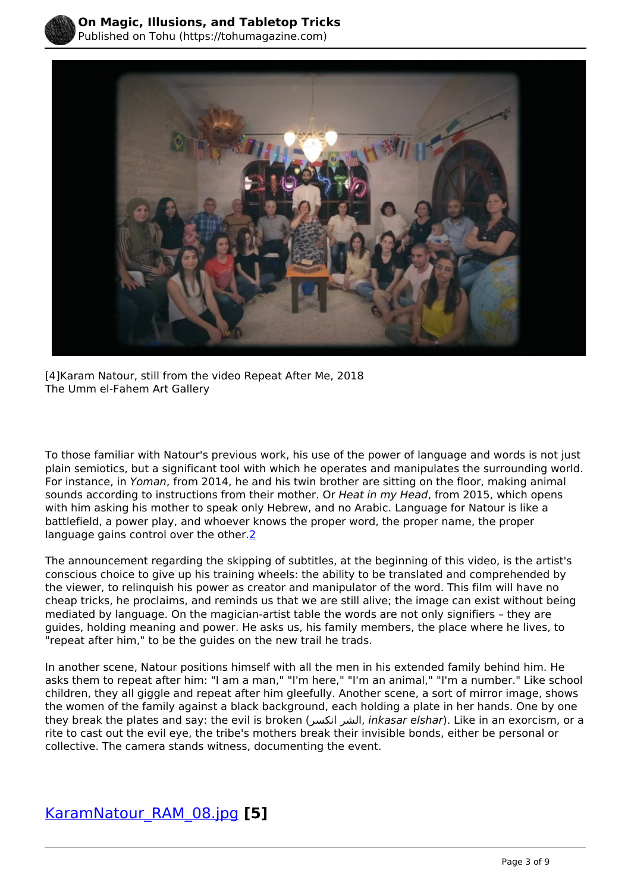



[4]Karam Natour, still from the video Repeat After Me, 2018 The Umm el-Fahem Art Gallery

 sounds according to instructions from their mother. Or *Heat in my Head*, from 2015, which opens To those familiar with Natour's previous work, his use of the power of language and words is not just plain semiotics, but a significant tool with which he operates and manipulates the surrounding world. For instance, in *Yoman*, from 2014, he and his twin brother are sitting on the floor, making animal with him asking his mother to speak only Hebrew, and no Arabic. Language for Natour is like a battlefield, a power play, and whoever knows the proper word, the proper name, the proper language gains control over the other.<sup>2</sup>

The announcement regarding the skipping of subtitles, at the beginning of this video, is the artist's conscious choice to give up his training wheels: the ability to be translated and comprehended by the viewer, to relinquish his power as creator and manipulator of the word. This film will have no cheap tricks, he proclaims, and reminds us that we are still alive; the image can exist without being mediated by language. On the magician-artist table the words are not only signifiers – they are guides, holding meaning and power. He asks us, his family members, the place where he lives, to "repeat after him," to be the guides on the new trail he trads.

In another scene, Natour positions himself with all the men in his extended family behind him. He asks them to repeat after him: "I am a man," "I'm here," "I'm an animal," "I'm a number." Like school children, they all giggle and repeat after him gleefully. Another scene, a sort of mirror image, shows the women of the family against a black background, each holding a plate in her hands. One by one they break the plates and say: the evil is broken (انكسر الشر, *inkasar elshar*). Like in an exorcism, or a rite to cast out the evil eye, the tribe's mothers break their invisible bonds, either be personal or collective. The camera stands witness, documenting the event.

#### [KaramNatour\\_RAM\\_08.jpg](https://tohumagazine.com/file/karamnatourram08jpg) **[5]**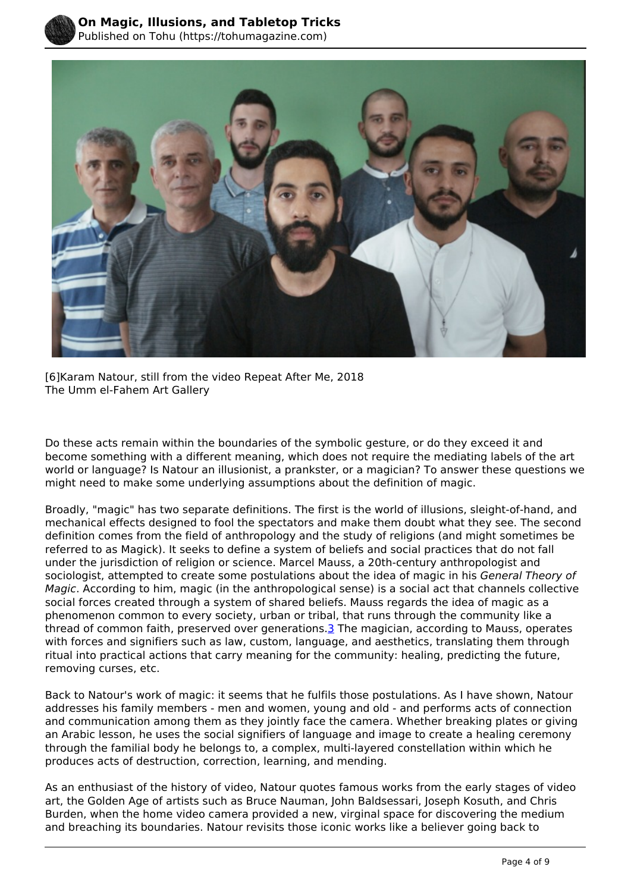



[6]Karam Natour, still from the video Repeat After Me, 2018 The Umm el-Fahem Art Gallery

Do these acts remain within the boundaries of the symbolic gesture, or do they exceed it and become something with a different meaning, which does not require the mediating labels of the art world or language? Is Natour an illusionist, a prankster, or a magician? To answer these questions we might need to make some underlying assumptions about the definition of magic.

Broadly, "magic" has two separate definitions. The first is the world of illusions, sleight-of-hand, and mechanical effects designed to fool the spectators and make them doubt what they see. The second definition comes from the field of anthropology and the study of religions (and might sometimes be referred to as Magick). It seeks to define a system of beliefs and social practices that do not fall under the jurisdiction of religion or science. Marcel Mauss, a 20th-century anthropologist and sociologist, attempted to create some postulations about the idea of magic in his *General Theory of Magic*. According to him, magic (in the anthropological sense) is a social act that channels collective social forces created through a system of shared beliefs. Mauss regards the idea of magic as a phenomenon common to every society, urban or tribal, that runs through the community like a thread of common faith, preserved over generations.3 The magician, according to Mauss, operates with forces and signifiers such as law, custom, language, and aesthetics, translating them through ritual into practical actions that carry meaning for the community: healing, predicting the future, removing curses, etc.

Back to Natour's work of magic: it seems that he fulfils those postulations. As I have shown, Natour addresses his family members - men and women, young and old - and performs acts of connection and communication among them as they jointly face the camera. Whether breaking plates or giving an Arabic lesson, he uses the social signifiers of language and image to create a healing ceremony through the familial body he belongs to, a complex, multi-layered constellation within which he produces acts of destruction, correction, learning, and mending.

As an enthusiast of the history of video, Natour quotes famous works from the early stages of video art, the Golden Age of artists such as Bruce Nauman, John Baldsessari, Joseph Kosuth, and Chris Burden, when the home video camera provided a new, virginal space for discovering the medium and breaching its boundaries. Natour revisits those iconic works like a believer going back to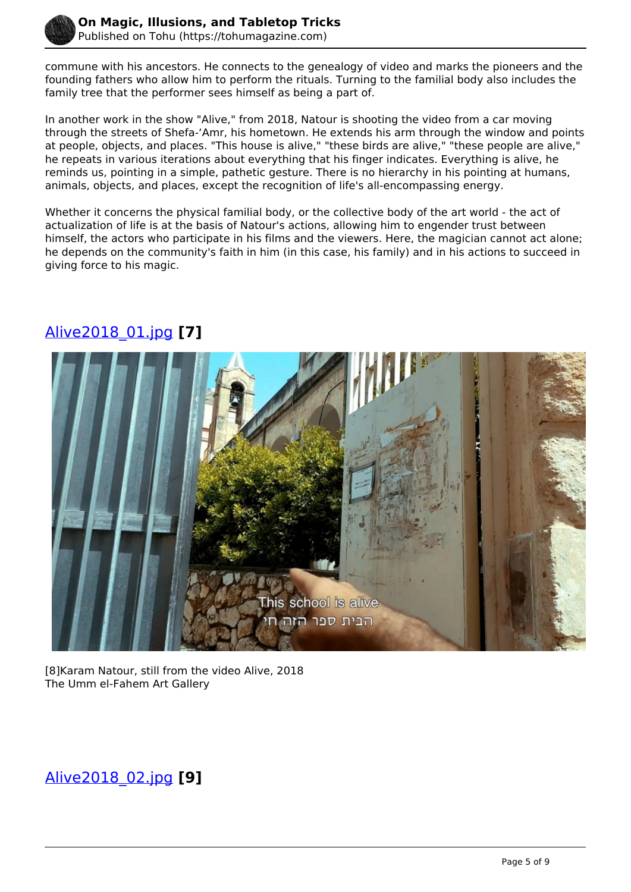

commune with his ancestors. He connects to the genealogy of video and marks the pioneers and the founding fathers who allow him to perform the rituals. Turning to the familial body also includes the family tree that the performer sees himself as being a part of.

In another work in the show "Alive," from 2018, Natour is shooting the video from a car moving through the streets of Shefa-ʻAmr, his hometown. He extends his arm through the window and points at people, objects, and places. "This house is alive," "these birds are alive," "these people are alive," he repeats in various iterations about everything that his finger indicates. Everything is alive, he reminds us, pointing in a simple, pathetic gesture. There is no hierarchy in his pointing at humans, animals, objects, and places, except the recognition of life's all-encompassing energy.

Whether it concerns the physical familial body, or the collective body of the art world - the act of actualization of life is at the basis of Natour's actions, allowing him to engender trust between himself, the actors who participate in his films and the viewers. Here, the magician cannot act alone; he depends on the community's faith in him (in this case, his family) and in his actions to succeed in giving force to his magic.



# [Alive2018\\_01.jpg](https://tohumagazine.com/file/alive201801jpg) **[7]**

[8]Karam Natour, still from the video Alive, 2018 The Umm el-Fahem Art Gallery

## [Alive2018\\_02.jpg](https://tohumagazine.com/file/alive201802jpg) **[9]**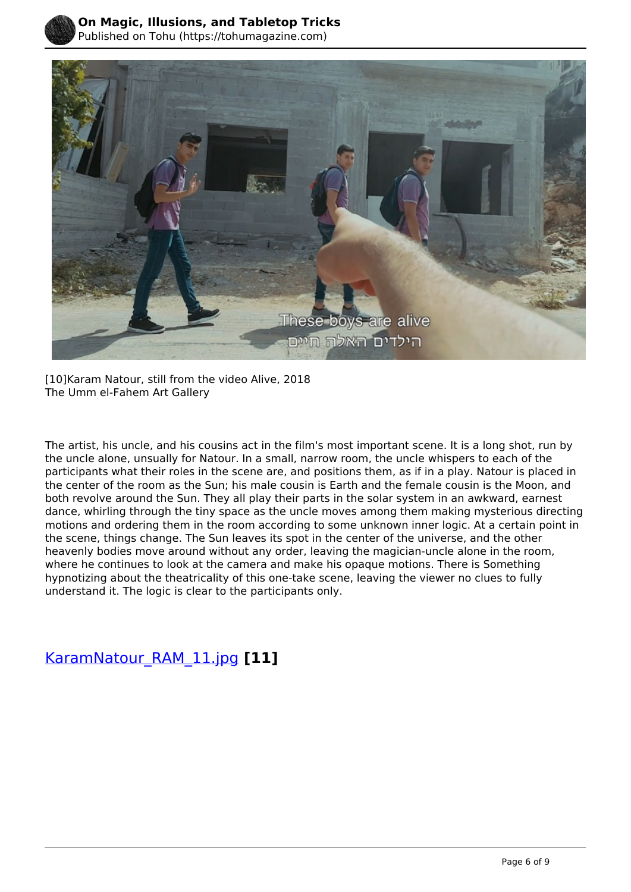



[10]Karam Natour, still from the video Alive, 2018 The Umm el-Fahem Art Gallery

 both revolve around the Sun. They all play their parts in the solar system in an awkward, earnest The artist, his uncle, and his cousins act in the film's most important scene. It is a long shot, run by the uncle alone, unsually for Natour. In a small, narrow room, the uncle whispers to each of the participants what their roles in the scene are, and positions them, as if in a play. Natour is placed in the center of the room as the Sun; his male cousin is Earth and the female cousin is the Moon, and dance, whirling through the tiny space as the uncle moves among them making mysterious directing motions and ordering them in the room according to some unknown inner logic. At a certain point in the scene, things change. The Sun leaves its spot in the center of the universe, and the other heavenly bodies move around without any order, leaving the magician-uncle alone in the room, where he continues to look at the camera and make his opaque motions. There is Something hypnotizing about the theatricality of this one-take scene, leaving the viewer no clues to fully understand it. The logic is clear to the participants only.

[KaramNatour\\_RAM\\_11.jpg](https://tohumagazine.com/file/karamnatourram11jpg) **[11]**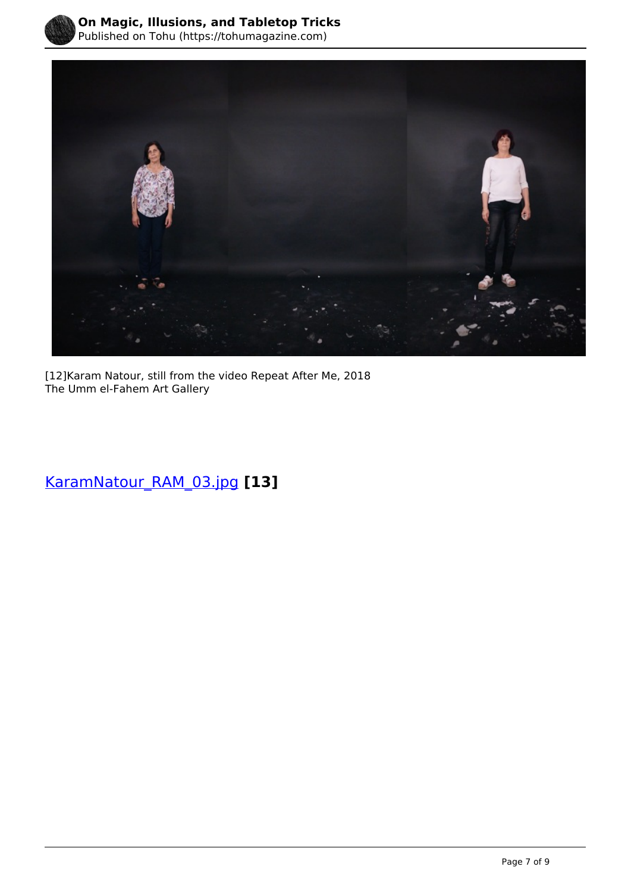



[12]Karam Natour, still from the video Repeat After Me, 2018 The Umm el-Fahem Art Gallery

[KaramNatour\\_RAM\\_03.jpg](https://tohumagazine.com/file/karamnatourram03jpg) **[13]**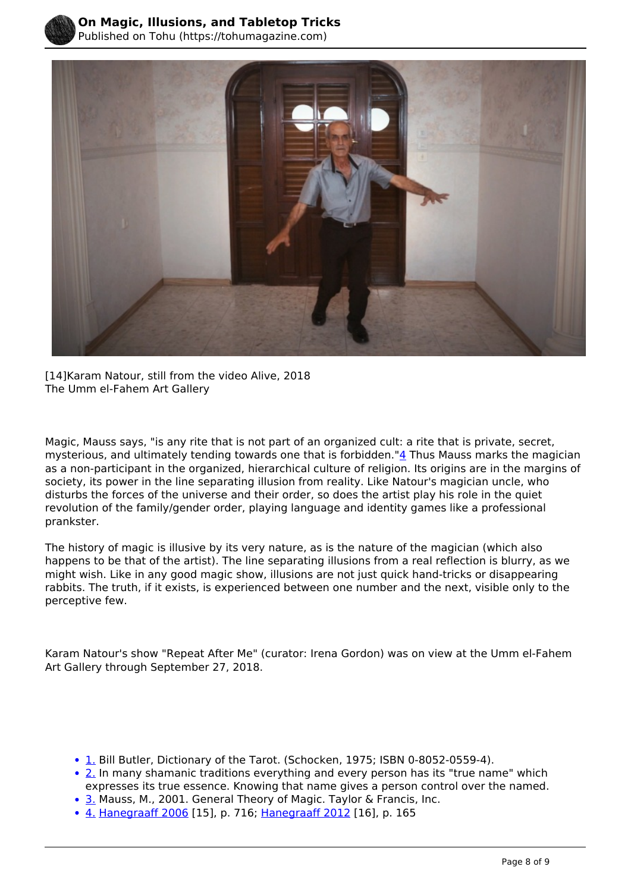

[14]Karam Natour, still from the video Alive, 2018 The Umm el-Fahem Art Gallery

 disturbs the forces of the universe and their order, so does the artist play his role in the quiet Magic, Mauss says, "is any rite that is not part of an organized cult: a rite that is private, secret, mysterious, and ultimately tending towards one that is forbidden."4 Thus Mauss marks the magician as a non-participant in the organized, hierarchical culture of religion. Its origins are in the margins of society, its power in the line separating illusion from reality. Like Natour's magician uncle, who revolution of the family/gender order, playing language and identity games like a professional prankster.

The history of magic is illusive by its very nature, as is the nature of the magician (which also happens to be that of the artist). The line separating illusions from a real reflection is blurry, as we might wish. Like in any good magic show, illusions are not just quick hand-tricks or disappearing rabbits. The truth, if it exists, is experienced between one number and the next, visible only to the perceptive few.

Karam Natour's show "Repeat After Me" (curator: Irena Gordon) was on view at the Umm el-Fahem Art Gallery through September 27, 2018.

- 1. Bill Butler, Dictionary of the Tarot. (Schocken, 1975; ISBN 0-8052-0559-4).
- 2. In many shamanic traditions everything and every person has its "true name" which expresses its true essence. Knowing that name gives a person control over the named.
- 3. Mauss, M., 2001. General Theory of Magic. Taylor & Francis, Inc.
- 4. [Hanegraaff 2006](https://en.wikipedia.org/wiki/Magic_(supernatural)#CITEREFHanegraaff2006) [15], p. 716; [Hanegraaff 2012](https://en.wikipedia.org/wiki/Magic_(supernatural)#CITEREFHanegraaff2012) [16], p. 165